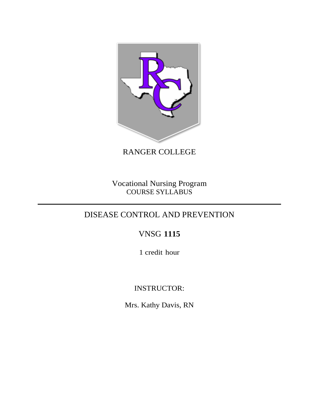

RANGER COLLEGE

Vocational Nursing Program COURSE SYLLABUS

# DISEASE CONTROL AND PREVENTION

# VNSG **1115**

1 credit hour

# INSTRUCTOR:

Mrs. Kathy Davis, RN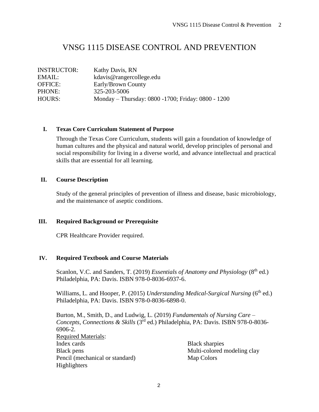# VNSG 1115 DISEASE CONTROL AND PREVENTION

INSTRUCTOR: Kathy Davis, RN EMAIL: kdavis@rangercollege.edu OFFICE: Early/Brown County PHONE: 325-203-5006 HOURS: Monday – Thursday: 0800 -1700; Friday: 0800 - 1200

### **I. Texas Core Curriculum Statement of Purpose**

Through the Texas Core Curriculum, students will gain a foundation of knowledge of human cultures and the physical and natural world, develop principles of personal and social responsibility for living in a diverse world, and advance intellectual and practical skills that are essential for all learning.

### **II. Course Description**

Study of the general principles of prevention of illness and disease, basic microbiology, and the maintenance of aseptic conditions.

## **III. Required Background or Prerequisite**

CPR Healthcare Provider required.

## **IV. Required Textbook and Course Materials**

Scanlon, V.C. and Sanders, T. (2019) *Essentials of Anatomy and Physiology* (8<sup>th</sup> ed.) Philadelphia, PA: Davis. ISBN 978-0-8036-6937-6.

Williams, L. and Hooper, P. (2015) *Understanding Medical-Surgical Nursing* (6<sup>th</sup> ed.) Philadelphia, PA: Davis. ISBN 978-0-8036-6898-0.

Burton, M., Smith, D., and Ludwig, L. (2019) *Fundamentals of Nursing Care – Concepts, Connections & Skills* (3rd ed.) Philadelphia, PA: Davis. ISBN 978-0-8036- 6906-2. Required Materials: Index cards Black pens Pencil (mechanical or standard) Highlighters Black sharpies Multi-colored modeling clay Map Colors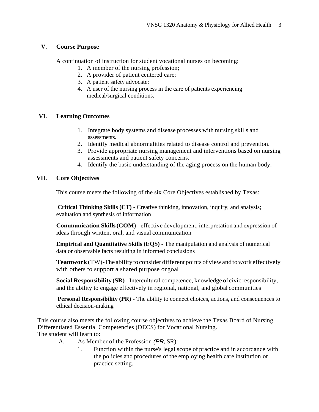#### **V. Course Purpose**

A continuation of instruction for student vocational nurses on becoming:

- 1. A member of the nursing profession;
- 2. A provider of patient centered care;
- 3. A patient safety advocate:
- 4. A user of the nursing process in the care of patients experiencing medical/surgical conditions.

#### **VI. Learning Outcomes**

- 1. Integrate body systems and disease processes with nursing skills and assessments.
- 2. Identify medical abnormalities related to disease control and prevention.
- 3. Provide appropriate nursing management and interventions based on nursing assessments and patient safety concerns.
- 4. Identify the basic understanding of the aging process on the human body.

### **VII. Core Objectives**

This course meets the following of the six Core Objectives established by Texas:

**Critical Thinking Skills (CT)** - Creative thinking, innovation, inquiry, and analysis; evaluation and synthesis of information

**Communication Skills(COM)**- effective development, interpretation and expression of ideas through written, oral, and visual communication

**Empirical and Quantitative Skills (EQS)** - The manipulation and analysis of numerical data or observable facts resulting in informed conclusions

**Teamwork**(TW)-The ability toconsider different pointsofviewand towork effectively with others to support a shared purpose orgoal

**Social Responsibility (SR)**- Intercultural competence, knowledge of civic responsibility, and the ability to engage effectively in regional, national, and global communities

**Personal Responsibility (PR)** - The ability to connect choices, actions, and consequences to ethical decision-making

This course also meets the following course objectives to achieve the Texas Board of Nursing Differentiated Essential Competencies (DECS) for Vocational Nursing. The student will learn to:

- A. As Member of the Profession *(PR,* SR):
	- 1. Function within the nurse's legal scope of practice and in accordance with the policies and procedures of the employing health care institution or practice setting.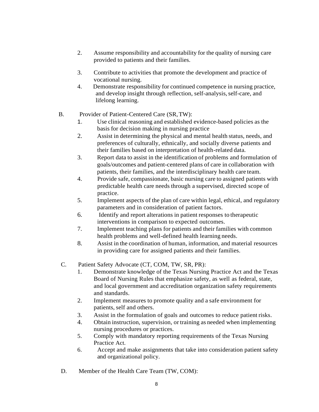- 2. Assume responsibility and accountability for the quality of nursing care provided to patients and their families.
- 3. Contribute to activities that promote the development and practice of vocational nursing.
- 4. Demonstrate responsibility for continued competence in nursing practice, and develop insight through reflection, self-analysis, self-care, and lifelong learning.
- B. Provider of Patient-Centered Care (SR,TW):
	- 1. Use clinical reasoning and established evidence-based policies as the basis for decision making in nursing practice
	- 2. Assist in determining the physical and mental health status, needs, and preferences of culturally, ethnically, and socially diverse patients and their families based on interpretation of health-related data.
	- 3. Report data to assist in the identification of problems and formulation of goals/outcomes and patient-centered plans of care in collaboration with patients, their families, and the interdisciplinary health care team.
	- 4. Provide safe, compassionate, basic nursing care to assigned patients with predictable health care needs through a supervised, directed scope of practice.
	- 5. Implement aspects of the plan of care within legal, ethical, and regulatory parameters and in consideration of patient factors.
	- 6. Identify and report alterations in patient responses to therapeutic interventions in comparison to expected outcomes.
	- 7. Implement teaching plans for patients and their families with common health problems and well-defined health learning needs.
	- 8. Assist in the coordination of human, information, and material resources in providing care for assigned patients and their families.
- C. Patient Safety Advocate (CT, COM, TW, SR, PR):
	- 1. Demonstrate knowledge of the Texas Nursing Practice Act and the Texas Board of Nursing Rules that emphasize safety, as well as federal, state, and local government and accreditation organization safety requirements and standards.
	- 2. Implement measures to promote quality and a safe environment for patients, self and others.
	- 3. Assist in the formulation of goals and outcomes to reduce patient risks.
	- 4. Obtain instruction, supervision, or training as needed when implementing nursing procedures or practices.
	- 5. Comply with mandatory reporting requirements of the Texas Nursing Practice Act.
	- 6. Accept and make assignments that take into consideration patient safety and organizational policy.
- D. Member of the Health Care Team (TW, COM):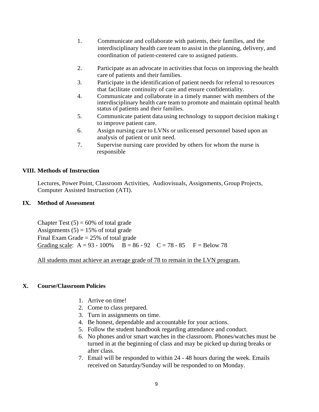- 1. Communicate and collaborate with patients, their families, and the interdisciplinary health care team to assist in the planning, delivery, and coordination of patient-centered care to assigned patients.
- 2. Participate as an advocate in activities that focus on improving the health care of patients and their families.
- 3. Participate in the identification of patient needs for referral to resources that facilitate continuity of care and ensure confidentiality.
- 4. Communicate and collaborate in a timely manner with members of the interdisciplinary health care team to promote and maintain optimal health status of patients and their families.
- 5. Communicate patient data using technology to support decision making t to improve patient care.
- 6. Assign nursing care to LVNs or unlicensed personnel based upon an analysis of patient or unit need.
- 7. Supervise nursing care provided by others for whom the nurse is responsible

#### **VIII. Methods of Instruction**

Lectures, Power Point, Classroom Activities, Audiovisuals, Assignments, Group Projects, Computer Assisted Instruction (ATI).

#### **IX. Method of Assessment**

Chapter Test  $(5) = 60\%$  of total grade Assignments  $(5) = 15%$  of total grade Final Exam Grade  $= 25\%$  of total grade Grading scale:  $A = 93 - 100\%$  B = 86 - 92 C = 78 - 85 F = Below 78

All students must achieve an average grade of 78 to remain in the LVN program.

#### **X. Course/Classroom Policies**

- 1. Arrive on time!
- 2. Come to class prepared.
- 3. Turn in assignments on time.
- 4. Be honest, dependable and accountable for your actions.
- 5. Follow the student handbook regarding attendance and conduct.
- 6. No phones and/or smart watches in the classroom. Phones/watches must be turned in at the beginning of class and may be picked up during breaks or after class.
- 7. Email will be responded to within 24 48 hours during the week. Emails received on Saturday/Sunday will be responded to on Monday.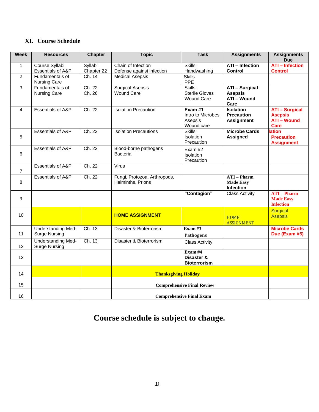# **XI. Course Schedule**

| Week           | <b>Resources</b>                                  | <b>Chapter</b>        | <b>Topic</b>                                      | <b>Task</b>                                           | <b>Assignments</b>                                                    | <b>Assignments</b><br><b>Due</b>                                      |
|----------------|---------------------------------------------------|-----------------------|---------------------------------------------------|-------------------------------------------------------|-----------------------------------------------------------------------|-----------------------------------------------------------------------|
| $\mathbf{1}$   | Course Syllabi<br>Essentials of A&P               | Syllabi<br>Chapter 22 | Chain of Infection<br>Defense against infection   | Skills:<br>Handwashing                                | <b>ATI</b> - Infection<br><b>Control</b>                              | <b>ATI</b> - Infection<br><b>Control</b>                              |
| $\overline{2}$ | Fundamentals of<br><b>Nursing Care</b>            | Ch. 14                | <b>Medical Asepsis</b>                            | Skills:<br>PPE                                        |                                                                       |                                                                       |
| 3              | Fundamentals of<br><b>Nursing Care</b>            | Ch. 22<br>Ch. 26      | <b>Surgical Asepsis</b><br>Wound Care             | Skills:<br><b>Sterile Gloves</b><br><b>Wound Care</b> | <b>ATI - Surgical</b><br><b>Asepsis</b><br><b>ATI - Wound</b><br>Care |                                                                       |
| 4              | <b>Essentials of A&amp;P</b>                      | Ch. 22                | <b>Isolation Precaution</b>                       | Exam#1<br>Intro to Microbes,<br>Asepsis<br>Wound care | <b>Isolation</b><br><b>Precaution</b><br><b>Assignment</b>            | <b>ATI - Surgical</b><br><b>Asepsis</b><br><b>ATI - Wound</b><br>Care |
| 5              | Essentials of A&P                                 | Ch. 22                | <b>Isolation Precautions</b>                      | Skills:<br>Isolation<br>Precaution                    | <b>Microbe Cards</b><br><b>Assigned</b>                               | <b>lation</b><br><b>Precaution</b><br><b>Assignment</b>               |
| 6              | <b>Essentials of A&amp;P</b>                      | Ch. 22                | Blood-borne pathogens<br><b>Bacteria</b>          | Exam #2<br>Isolation<br>Precaution                    |                                                                       |                                                                       |
| 7              | <b>Essentials of A&amp;P</b>                      | Ch. 22                | Virus                                             |                                                       |                                                                       |                                                                       |
| 8              | <b>Essentials of A&amp;P</b>                      | Ch. 22                | Fungi, Protozoa, Arthropods,<br>Helminths, Prions |                                                       | <b>ATI-Pharm</b><br><b>Made Easy</b><br>Infection                     |                                                                       |
| 9              |                                                   |                       |                                                   | "Contagion"                                           | <b>Class Activity</b>                                                 | <b>ATI-Pharm</b><br><b>Made Easy</b><br><b>Infection</b>              |
| 10             |                                                   |                       | <b>HOME ASSIGNMENT</b>                            |                                                       | <b>HOME</b><br><b>ASSIGNMENT</b>                                      | <b>Surgical</b><br><b>Asepsis</b>                                     |
| 11             | <b>Understanding Med-</b><br><b>Surge Nursing</b> | Ch. 13                | Disaster & Bioterrorism                           | Exam# $3$<br>Pathogens                                |                                                                       | <b>Microbe Cards</b><br>Due (Exam #5)                                 |
| 12             | <b>Understanding Med-</b><br><b>Surge Nursing</b> | Ch. 13                | Disaster & Bioterrorism                           | <b>Class Activity</b>                                 |                                                                       |                                                                       |
| 13             |                                                   |                       |                                                   | Exam# $4$<br>Disaster &<br><b>Bioterrorism</b>        |                                                                       |                                                                       |
| 14             |                                                   |                       | <b>Thanksgiving Holiday</b>                       |                                                       |                                                                       |                                                                       |
| 15             |                                                   |                       | <b>Comprehensive Final Review</b>                 |                                                       |                                                                       |                                                                       |
| 16             |                                                   |                       | <b>Comprehensive Final Exam</b>                   |                                                       |                                                                       |                                                                       |

# **Course schedule is subject to change.**